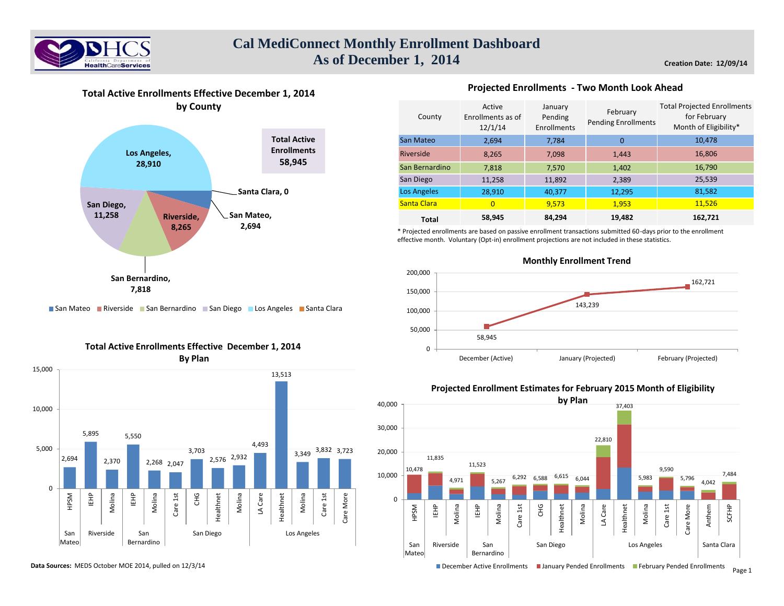



# **Total Active Enrollments Effective December 1, 2014**



**Projected Enrollments - Two Month Look Ahead** 

\* Projected enrollments are based on passive enrollment transactions submitted 60-days prior to the enrollment effective month. Voluntary (Opt-in) enrollment projections are not included in these statistics.



# ■ San Mateo ■ Riverside ■ San Bernardino ■ San Diego ■ Los Angeles ■ Santa Clara





#### **Data Sources:** MEDS October MOE 2014, pulled on 12/3/14

## **Projected Enrollment Estimates for February 2015 Month of Eligibility**



December Active Enrollments III January Pended Enrollments III February Pended Enrollments Page 1